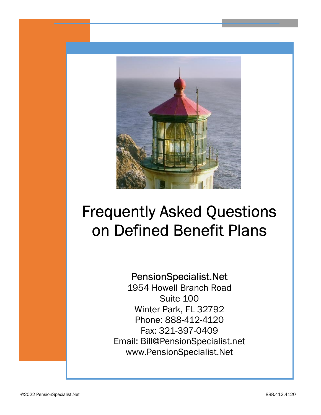

# Frequently Asked Questions on Defined Benefit Plans

#### PensionSpecialist.Net

1954 Howell Branch Road Suite 100 Winter Park, FL 32792 Phone: 888-412-4120 Fax: 321-397-0409 Email: Bill@PensionSpecialist.net www.PensionSpecialist.Net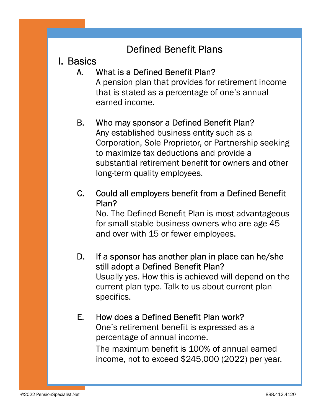# Defined Benefit Plans

# I. Basics

#### A. What is a Defined Benefit Plan?

A pension plan that provides for retirement income that is stated as a percentage of one's annual earned income.

#### B. Who may sponsor a Defined Benefit Plan?

Any established business entity such as a Corporation, Sole Proprietor, or Partnership seeking to maximize tax deductions and provide a substantial retirement benefit for owners and other long-term quality employees.

#### C. Could all employers benefit from a Defined Benefit Plan?

No. The Defined Benefit Plan is most advantageous for small stable business owners who are age 45 and over with 15 or fewer employees.

#### D. If a sponsor has another plan in place can he/she still adopt a Defined Benefit Plan?

 Usually yes. How this is achieved will depend on the current plan type. Talk to us about current plan specifics.

#### E. How does a Defined Benefit Plan work?

One's retirement benefit is expressed as a percentage of annual income. The maximum benefit is 100% of annual earned income, not to exceed \$245,000 (2022) per year.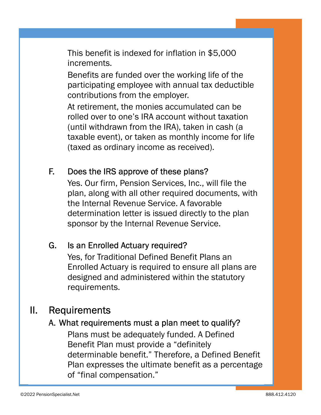This benefit is indexed for inflation in \$5,000 increments.

Benefits are funded over the working life of the participating employee with annual tax deductible contributions from the employer.

At retirement, the monies accumulated can be rolled over to one's IRA account without taxation (until withdrawn from the IRA), taken in cash (a taxable event), or taken as monthly income for life (taxed as ordinary income as received).

#### F. Does the IRS approve of these plans?

Yes. Our firm, Pension Services, Inc., will file the plan, along with all other required documents, with the Internal Revenue Service. A favorable determination letter is issued directly to the plan sponsor by the Internal Revenue Service.

#### G. Is an Enrolled Actuary required?

Yes, for Traditional Defined Benefit Plans an Enrolled Actuary is required to ensure all plans are designed and administered within the statutory requirements.

# II. Requirements

#### A. What requirements must a plan meet to qualify?

Plans must be adequately funded. A Defined Benefit Plan must provide a "definitely determinable benefit." Therefore, a Defined Benefit Plan expresses the ultimate benefit as a percentage of "final compensation."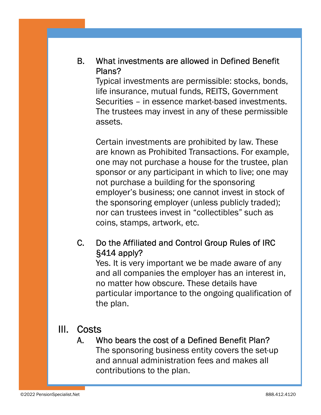B. What investments are allowed in Defined Benefit Plans?

Typical investments are permissible: stocks, bonds, life insurance, mutual funds, REITS, Government Securities – in essence market-based investments. The trustees may invest in any of these permissible assets.

Certain investments are prohibited by law. These are known as Prohibited Transactions. For example, one may not purchase a house for the trustee, plan sponsor or any participant in which to live; one may not purchase a building for the sponsoring employer's business; one cannot invest in stock of the sponsoring employer (unless publicly traded); nor can trustees invest in "collectibles" such as coins, stamps, artwork, etc.

#### C. Do the Affiliated and Control Group Rules of IRC §414 apply?

Yes. It is very important we be made aware of any and all companies the employer has an interest in, no matter how obscure. These details have particular importance to the ongoing qualification of the plan.

#### III. Costs

A. Who bears the cost of a Defined Benefit Plan? The sponsoring business entity covers the set-up and annual administration fees and makes all contributions to the plan.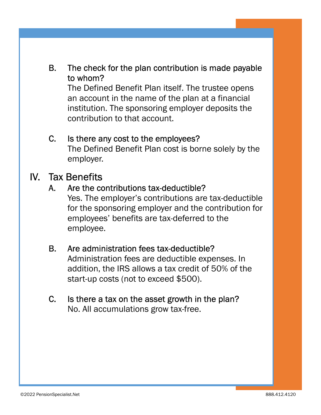#### B. The check for the plan contribution is made payable to whom?

The Defined Benefit Plan itself. The trustee opens an account in the name of the plan at a financial institution. The sponsoring employer deposits the contribution to that account.

#### C. Is there any cost to the employees?

The Defined Benefit Plan cost is borne solely by the employer.

#### IV. Tax Benefits

#### A. Are the contributions tax-deductible?

Yes. The employer's contributions are tax-deductible for the sponsoring employer and the contribution for employees' benefits are tax-deferred to the employee.

#### B. Are administration fees tax-deductible?

Administration fees are deductible expenses. In addition, the IRS allows a tax credit of 50% of the start-up costs (not to exceed \$500).

#### C. Is there a tax on the asset growth in the plan? No. All accumulations grow tax-free.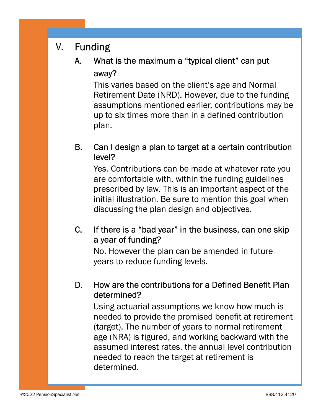# V. Funding

## A. What is the maximum a "typical client" can put away?

This varies based on the client's age and Normal Retirement Date (NRD). However, due to the funding assumptions mentioned earlier, contributions may be up to six times more than in a defined contribution plan.

#### B. Can I design a plan to target at a certain contribution level?

Yes. Contributions can be made at whatever rate you are comfortable with, within the funding guidelines prescribed by law. This is an important aspect of the initial illustration. Be sure to mention this goal when discussing the plan design and objectives.

#### C. If there is a "bad year" in the business, can one skip a year of funding?

No. However the plan can be amended in future years to reduce funding levels.

#### D. How are the contributions for a Defined Benefit Plan determined?

Using actuarial assumptions we know how much is needed to provide the promised benefit at retirement (target). The number of years to normal retirement age (NRA) is figured, and working backward with the assumed interest rates, the annual level contribution needed to reach the target at retirement is determined.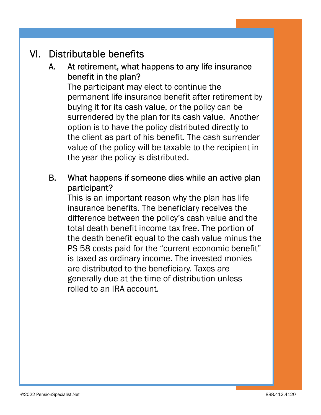# VI. Distributable benefits

#### A. At retirement, what happens to any life insurance benefit in the plan?

The participant may elect to continue the permanent life insurance benefit after retirement by buying it for its cash value, or the policy can be surrendered by the plan for its cash value. Another option is to have the policy distributed directly to the client as part of his benefit. The cash surrender value of the policy will be taxable to the recipient in the year the policy is distributed.

#### B. What happens if someone dies while an active plan participant?

This is an important reason why the plan has life insurance benefits. The beneficiary receives the difference between the policy's cash value and the total death benefit income tax free. The portion of the death benefit equal to the cash value minus the PS-58 costs paid for the "current economic benefit" is taxed as ordinary income. The invested monies are distributed to the beneficiary. Taxes are generally due at the time of distribution unless rolled to an IRA account.